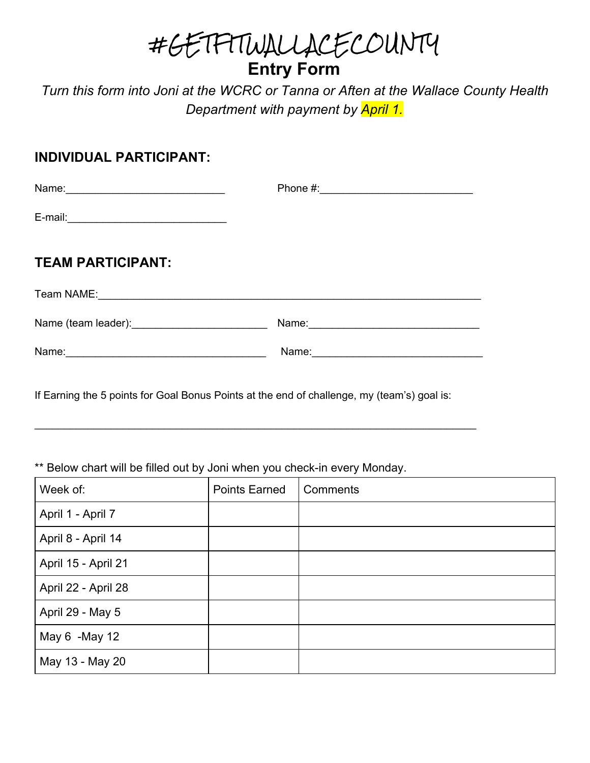#GETFITWALLACECOUNTY **Entry Form**

*Turn this form into Joni at the WCRC or Tanna or Aften at the Wallace County Health Department with payment by April 1.*

#### **INDIVIDUAL PARTICIPANT:**

| <b>TEAM PARTICIPANT:</b>                                                                                       |  |
|----------------------------------------------------------------------------------------------------------------|--|
|                                                                                                                |  |
| Name (team leader): Manual Manual Manual Manual Manual Manual Manual Manual Manual Manual Manual Manual Manual |  |
|                                                                                                                |  |

If Earning the 5 points for Goal Bonus Points at the end of challenge, my (team's) goal is:

\_\_\_\_\_\_\_\_\_\_\_\_\_\_\_\_\_\_\_\_\_\_\_\_\_\_\_\_\_\_\_\_\_\_\_\_\_\_\_\_\_\_\_\_\_\_\_\_\_\_\_\_\_\_\_\_\_\_\_\_\_\_\_\_\_\_\_\_\_\_\_\_\_\_\_

#### \*\* Below chart will be filled out by Joni when you check-in every Monday.

| Week of:            | <b>Points Earned</b> | Comments |
|---------------------|----------------------|----------|
| April 1 - April 7   |                      |          |
| April 8 - April 14  |                      |          |
| April 15 - April 21 |                      |          |
| April 22 - April 28 |                      |          |
| April 29 - May 5    |                      |          |
| May 6 -May 12       |                      |          |
| May 13 - May 20     |                      |          |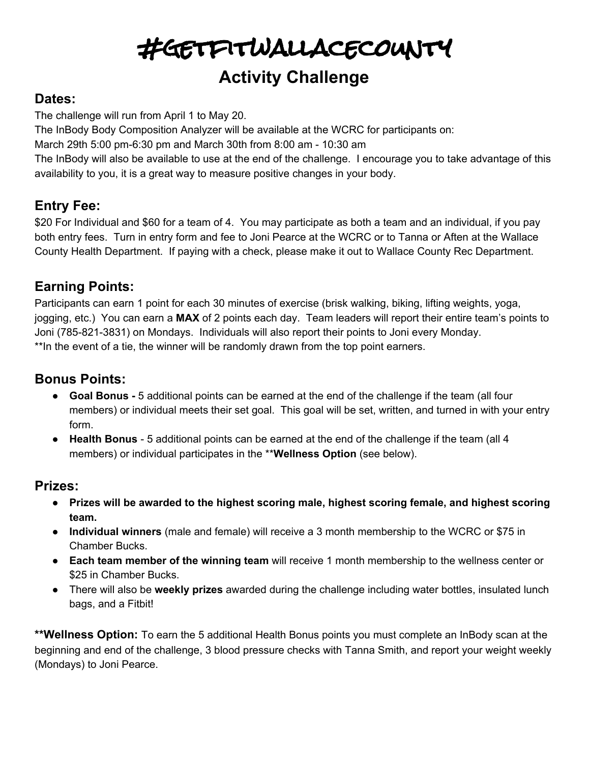#getfitwallacecounty

## **Activity Challenge**

#### **Dates:**

The challenge will run from April 1 to May 20.

The InBody Body Composition Analyzer will be available at the WCRC for participants on:

March 29th 5:00 pm-6:30 pm and March 30th from 8:00 am - 10:30 am

The InBody will also be available to use at the end of the challenge. I encourage you to take advantage of this availability to you, it is a great way to measure positive changes in your body.

## **Entry Fee:**

\$20 For Individual and \$60 for a team of 4. You may participate as both a team and an individual, if you pay both entry fees. Turn in entry form and fee to Joni Pearce at the WCRC or to Tanna or Aften at the Wallace County Health Department. If paying with a check, please make it out to Wallace County Rec Department.

### **Earning Points:**

Participants can earn 1 point for each 30 minutes of exercise (brisk walking, biking, lifting weights, yoga, jogging, etc.) You can earn a **MAX** of 2 points each day. Team leaders will report their entire team's points to Joni (785-821-3831) on Mondays. Individuals will also report their points to Joni every Monday. \*\*In the event of a tie, the winner will be randomly drawn from the top point earners.

#### **Bonus Points:**

- **● Goal Bonus -** 5 additional points can be earned at the end of the challenge if the team (all four members) or individual meets their set goal. This goal will be set, written, and turned in with your entry form.
- **Health Bonus** 5 additional points can be earned at the end of the challenge if the team (all 4 members) or individual participates in the \*\***Wellness Option** (see below).

#### **Prizes:**

- **● Prizes will be awarded to the highest scoring male, highest scoring female, and highest scoring team.**
- **● Individual winners** (male and female) will receive a 3 month membership to the WCRC or \$75 in Chamber Bucks.
- **● Each team member of the winning team** will receive 1 month membership to the wellness center or \$25 in Chamber Bucks.
- There will also be **weekly prizes** awarded during the challenge including water bottles, insulated lunch bags, and a Fitbit!

**\*\*Wellness Option:** To earn the 5 additional Health Bonus points you must complete an InBody scan at the beginning and end of the challenge, 3 blood pressure checks with Tanna Smith, and report your weight weekly (Mondays) to Joni Pearce.